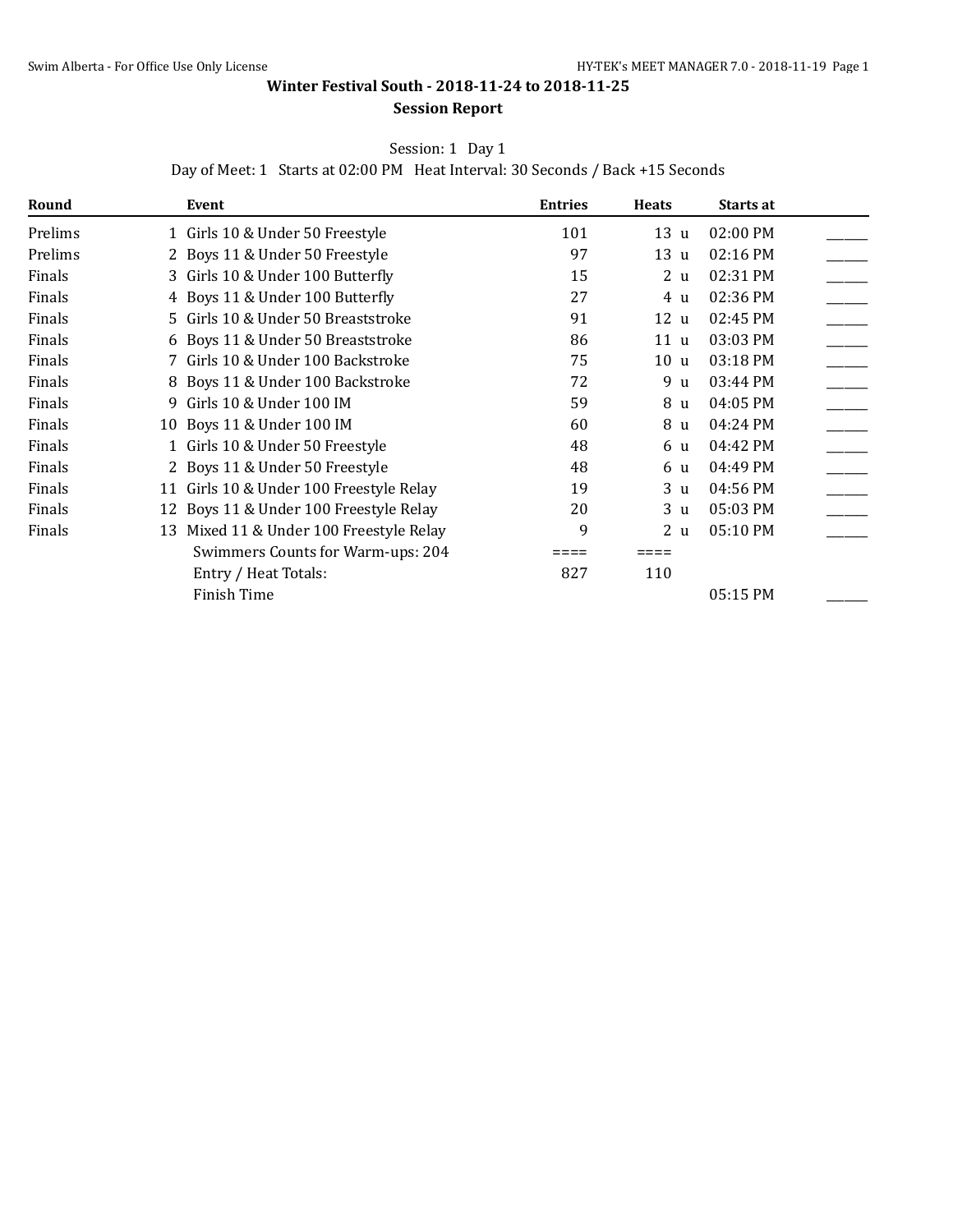**Winter Festival South - 2018-11-24 to 2018-11-25**

## **Session Report**

Session: 1 Day 1

Day of Meet: 1 Starts at 02:00 PM Heat Interval: 30 Seconds / Back +15 Seconds

| Round   |   | Event                                   | <b>Entries</b> | <b>Heats</b>       | Starts at |  |
|---------|---|-----------------------------------------|----------------|--------------------|-----------|--|
| Prelims |   | 1 Girls 10 & Under 50 Freestyle         | 101            | 13<br>$\mathbf{u}$ | 02:00 PM  |  |
| Prelims |   | 2 Boys 11 & Under 50 Freestyle          | 97             | 13 u               | 02:16 PM  |  |
| Finals  |   | 3 Girls 10 & Under 100 Butterfly        | 15             | 2 <sub>u</sub>     | 02:31 PM  |  |
| Finals  |   | 4 Boys 11 & Under 100 Butterfly         | 27             | 4 u                | 02:36 PM  |  |
| Finals  |   | 5 Girls 10 & Under 50 Breaststroke      | 91             | 12u                | 02:45 PM  |  |
| Finals  |   | 6 Boys 11 & Under 50 Breaststroke       | 86             | 11 u               | 03:03 PM  |  |
| Finals  |   | 7 Girls 10 & Under 100 Backstroke       | 75             | 10 u               | 03:18 PM  |  |
| Finals  |   | 8 Boys 11 & Under 100 Backstroke        | 72             | 9 u                | 03:44 PM  |  |
| Finals  | 9 | Girls 10 & Under 100 IM                 | 59             | 8 u                | 04:05 PM  |  |
| Finals  |   | 10 Boys 11 & Under 100 IM               | 60             | 8 u                | 04:24 PM  |  |
| Finals  |   | 1 Girls 10 & Under 50 Freestyle         | 48             | 6 u                | 04:42 PM  |  |
| Finals  |   | 2 Boys 11 & Under 50 Freestyle          | 48             | 6 u                | 04:49 PM  |  |
| Finals  |   | 11 Girls 10 & Under 100 Freestyle Relay | 19             | 3 u                | 04:56 PM  |  |
| Finals  |   | 12 Boys 11 & Under 100 Freestyle Relay  | 20             | 3 <sub>u</sub>     | 05:03 PM  |  |
| Finals  |   | 13 Mixed 11 & Under 100 Freestyle Relay | 9              | 2 <sub>u</sub>     | 05:10 PM  |  |
|         |   | Swimmers Counts for Warm-ups: 204       |                |                    |           |  |
|         |   | Entry / Heat Totals:                    | 827            | 110                |           |  |
|         |   | Finish Time                             |                |                    | 05:15 PM  |  |